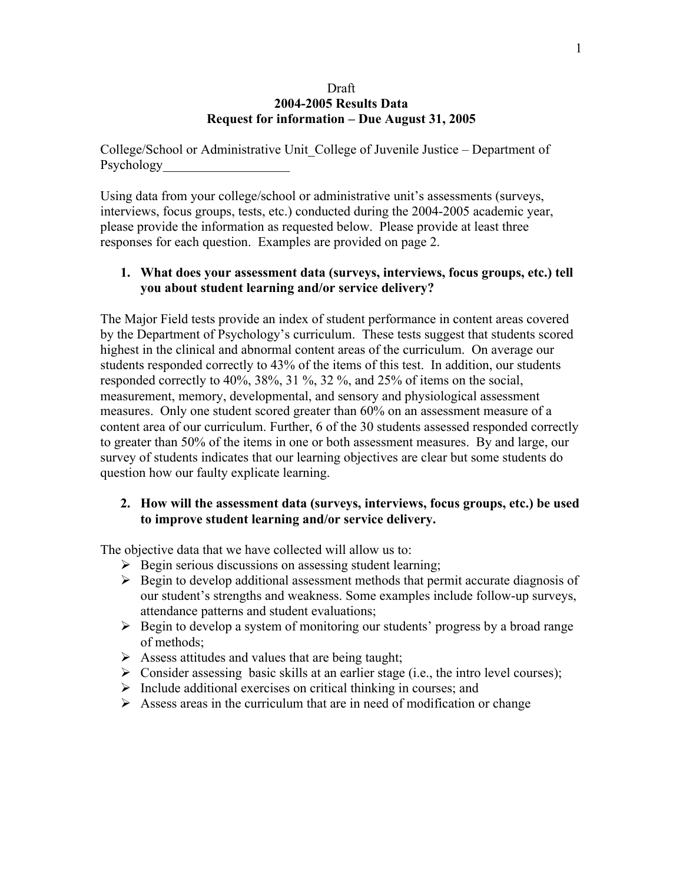#### Draft **2004-2005 Results Data Request for information – Due August 31, 2005**

College/School or Administrative Unit\_College of Juvenile Justice – Department of Psychology

Using data from your college/school or administrative unit's assessments (surveys, interviews, focus groups, tests, etc.) conducted during the 2004-2005 academic year, please provide the information as requested below. Please provide at least three responses for each question. Examples are provided on page 2.

## **1. What does your assessment data (surveys, interviews, focus groups, etc.) tell you about student learning and/or service delivery?**

The Major Field tests provide an index of student performance in content areas covered by the Department of Psychology's curriculum. These tests suggest that students scored highest in the clinical and abnormal content areas of the curriculum. On average our students responded correctly to 43% of the items of this test. In addition, our students responded correctly to 40%, 38%, 31 %, 32 %, and 25% of items on the social, measurement, memory, developmental, and sensory and physiological assessment measures. Only one student scored greater than 60% on an assessment measure of a content area of our curriculum. Further, 6 of the 30 students assessed responded correctly to greater than 50% of the items in one or both assessment measures. By and large, our survey of students indicates that our learning objectives are clear but some students do question how our faulty explicate learning.

## **2. How will the assessment data (surveys, interviews, focus groups, etc.) be used to improve student learning and/or service delivery.**

The objective data that we have collected will allow us to:

- $\triangleright$  Begin serious discussions on assessing student learning;
- $\triangleright$  Begin to develop additional assessment methods that permit accurate diagnosis of our student's strengths and weakness. Some examples include follow-up surveys, attendance patterns and student evaluations;
- $\triangleright$  Begin to develop a system of monitoring our students' progress by a broad range of methods;
- $\triangleright$  Assess attitudes and values that are being taught;
- $\triangleright$  Consider assessing basic skills at an earlier stage (i.e., the intro level courses);
- $\triangleright$  Include additional exercises on critical thinking in courses; and
- $\triangleright$  Assess areas in the curriculum that are in need of modification or change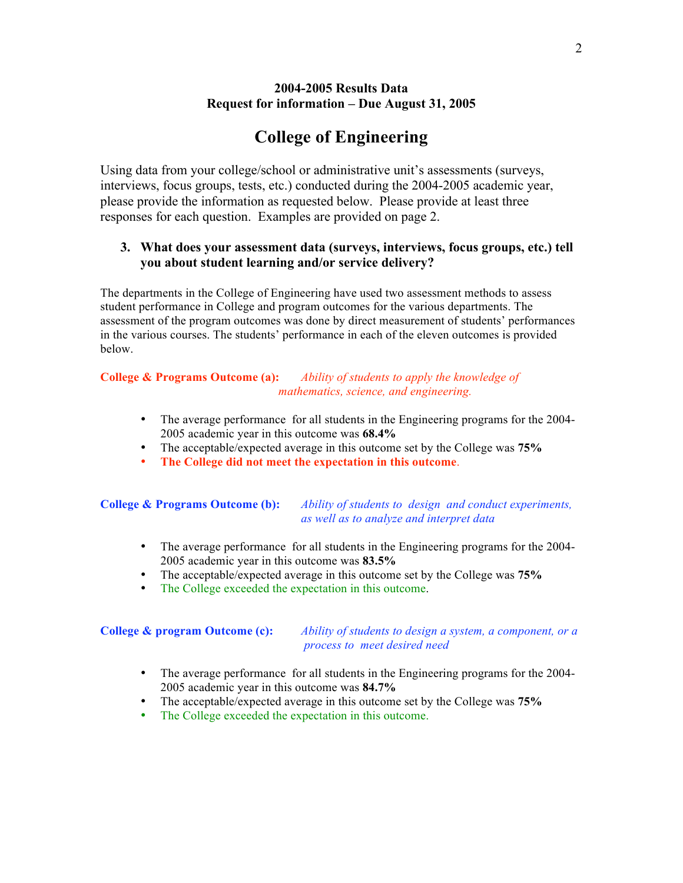## **2004-2005 Results Data Request for information – Due August 31, 2005**

# **College of Engineering**

Using data from your college/school or administrative unit's assessments (surveys, interviews, focus groups, tests, etc.) conducted during the 2004-2005 academic year, please provide the information as requested below. Please provide at least three responses for each question. Examples are provided on page 2.

## **3. What does your assessment data (surveys, interviews, focus groups, etc.) tell you about student learning and/or service delivery?**

The departments in the College of Engineering have used two assessment methods to assess student performance in College and program outcomes for the various departments. The assessment of the program outcomes was done by direct measurement of students' performances in the various courses. The students' performance in each of the eleven outcomes is provided below.

#### **College & Programs Outcome (a):** *Ability of students to apply the knowledge of mathematics, science, and engineering.*

- The average performance for all students in the Engineering programs for the 2004- 2005 academic year in this outcome was **68.4%**
- The acceptable/expected average in this outcome set by the College was **75%**
- **The College did not meet the expectation in this outcome**.

#### **College & Programs Outcome (b):** *Ability of students to design and conduct experiments, as well as to analyze and interpret data*

- The average performance for all students in the Engineering programs for the 2004- 2005 academic year in this outcome was **83.5%**
- The acceptable/expected average in this outcome set by the College was **75%**
- The College exceeded the expectation in this outcome.

**College & program Outcome (c):** *Ability of students to design a system, a component, or a process to meet desired need*

- The average performance for all students in the Engineering programs for the 2004- 2005 academic year in this outcome was **84.7%**
- The acceptable/expected average in this outcome set by the College was **75%**
- The College exceeded the expectation in this outcome.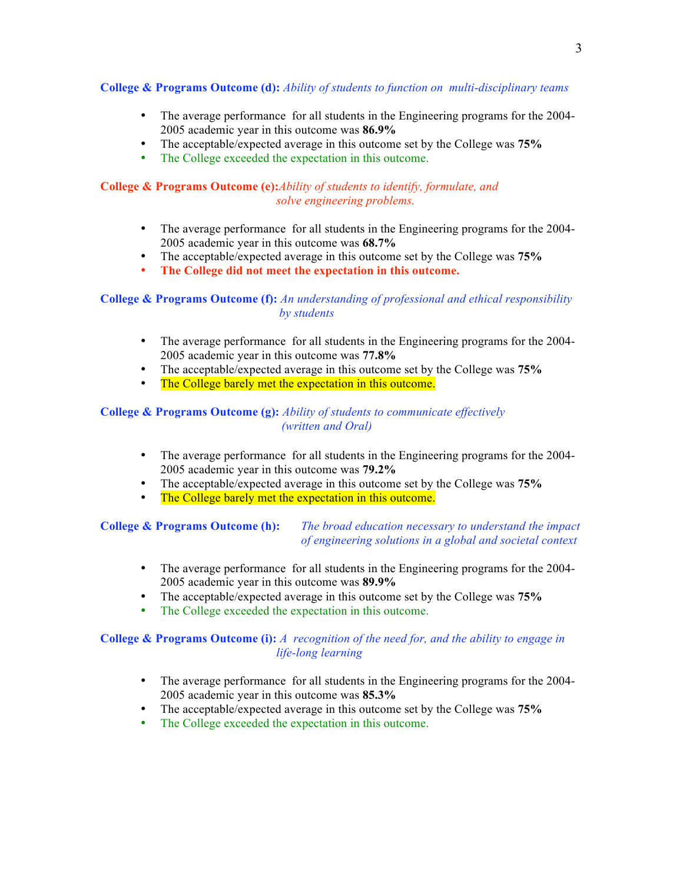#### **College & Programs Outcome (d):** *Ability of students to function on multi-disciplinary teams*

- The average performance for all students in the Engineering programs for the 2004- 2005 academic year in this outcome was **86.9%**
- The acceptable/expected average in this outcome set by the College was **75%**
- The College exceeded the expectation in this outcome.

#### **College & Programs Outcome (e):***Ability of students to identify, formulate, and solve engineering problems.*

- The average performance for all students in the Engineering programs for the 2004- 2005 academic year in this outcome was **68.7%**
- The acceptable/expected average in this outcome set by the College was **75%**
- **The College did not meet the expectation in this outcome.**

#### **College & Programs Outcome (f):** *An understanding of professional and ethical responsibility by students*

- The average performance for all students in the Engineering programs for the 2004- 2005 academic year in this outcome was **77.8%**
- The acceptable/expected average in this outcome set by the College was **75%**
- The College barely met the expectation in this outcome.

#### **College & Programs Outcome (g):** *Ability of students to communicate effectively (written and Oral)*

- The average performance for all students in the Engineering programs for the 2004- 2005 academic year in this outcome was **79.2%**
- The acceptable/expected average in this outcome set by the College was **75%**
- The College barely met the expectation in this outcome.

#### **College & Programs Outcome (h):** *The broad education necessary to understand the impact of engineering solutions in a global and societal context*

- The average performance for all students in the Engineering programs for the 2004- 2005 academic year in this outcome was **89.9%**
- The acceptable/expected average in this outcome set by the College was **75%**
- The College exceeded the expectation in this outcome.

#### **College & Programs Outcome (i):** *A recognition of the need for, and the ability to engage in life-long learning*

- The average performance for all students in the Engineering programs for the 2004- 2005 academic year in this outcome was **85.3%**
- The acceptable/expected average in this outcome set by the College was **75%**<br>• The College exceeded the expectation in this outcome
- The College exceeded the expectation in this outcome.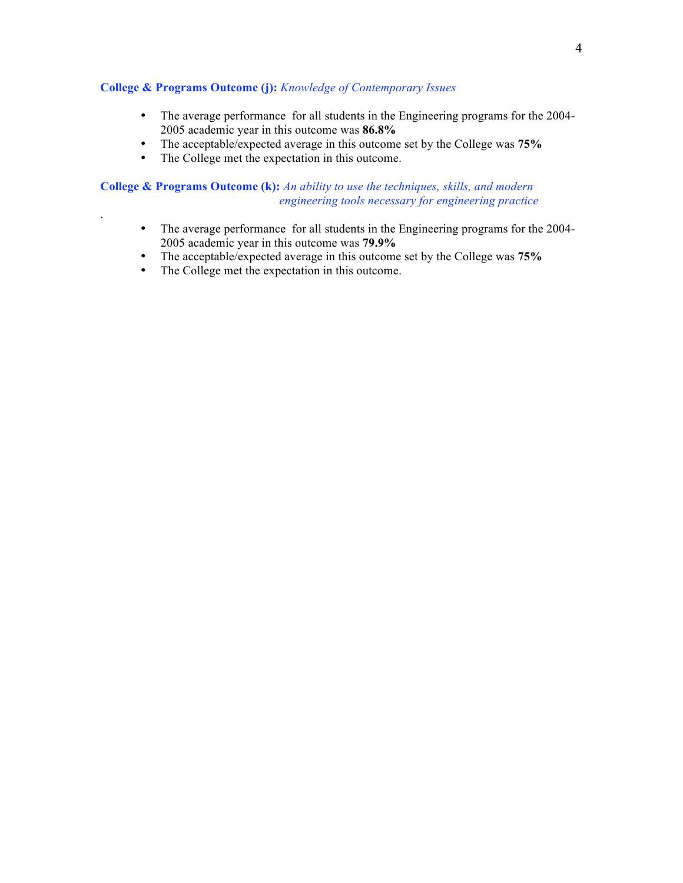#### **College & Programs Outcome (j):** *Knowledge of Contemporary Issues*

- The average performance for all students in the Engineering programs for the 2004- 2005 academic year in this outcome was **86.8%**
- The acceptable/expected average in this outcome set by the College was **75%**<br>• The College met the expectation in this outcome
- The College met the expectation in this outcome.

#### **College & Programs Outcome (k):** *An ability to use the techniques, skills, and modern engineering tools necessary for engineering practice*

- The average performance for all students in the Engineering programs for the 2004- 2005 academic year in this outcome was **79.9%**
- The acceptable/expected average in this outcome set by the College was **75%**
- The College met the expectation in this outcome.

.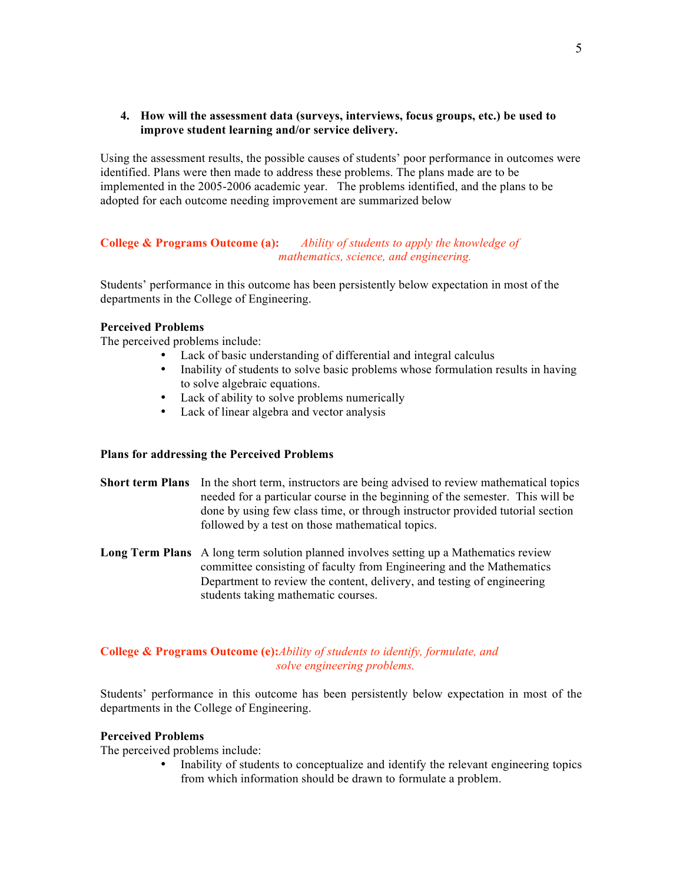#### **4. How will the assessment data (surveys, interviews, focus groups, etc.) be used to improve student learning and/or service delivery.**

Using the assessment results, the possible causes of students' poor performance in outcomes were identified. Plans were then made to address these problems. The plans made are to be implemented in the 2005-2006 academic year. The problems identified, and the plans to be adopted for each outcome needing improvement are summarized below

#### **College & Programs Outcome (a):** *Ability of students to apply the knowledge of mathematics, science, and engineering.*

Students' performance in this outcome has been persistently below expectation in most of the departments in the College of Engineering.

#### **Perceived Problems**

The perceived problems include:

- Lack of basic understanding of differential and integral calculus<br>• Inability of students to solve basic problems whose formulation is
- Inability of students to solve basic problems whose formulation results in having to solve algebraic equations.
- Lack of ability to solve problems numerically
- Lack of linear algebra and vector analysis

#### **Plans for addressing the Perceived Problems**

- **Short term Plans** In the short term, instructors are being advised to review mathematical topics needed for a particular course in the beginning of the semester. This will be done by using few class time, or through instructor provided tutorial section followed by a test on those mathematical topics.
- **Long Term Plans** A long term solution planned involves setting up a Mathematics review committee consisting of faculty from Engineering and the Mathematics Department to review the content, delivery, and testing of engineering students taking mathematic courses.

#### **College & Programs Outcome (e):***Ability of students to identify, formulate, and solve engineering problems.*

Students' performance in this outcome has been persistently below expectation in most of the departments in the College of Engineering.

#### **Perceived Problems**

The perceived problems include:

• Inability of students to conceptualize and identify the relevant engineering topics from which information should be drawn to formulate a problem.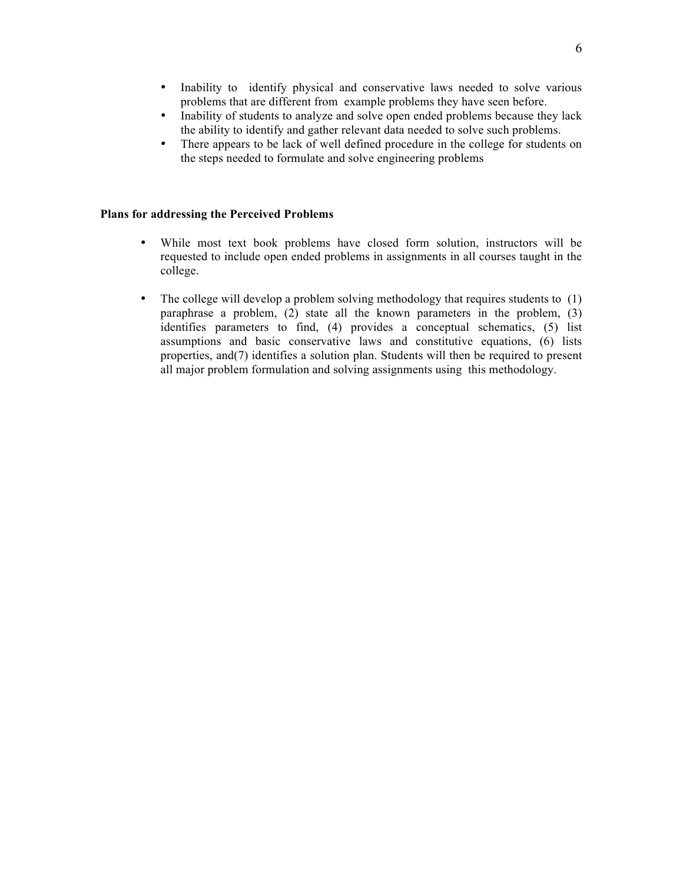- Inability to identify physical and conservative laws needed to solve various problems that are different from example problems they have seen before.
- Inability of students to analyze and solve open ended problems because they lack the ability to identify and gather relevant data needed to solve such problems.
- There appears to be lack of well defined procedure in the college for students on the steps needed to formulate and solve engineering problems

#### **Plans for addressing the Perceived Problems**

- While most text book problems have closed form solution, instructors will be requested to include open ended problems in assignments in all courses taught in the college.
- The college will develop a problem solving methodology that requires students to (1) paraphrase a problem, (2) state all the known parameters in the problem, (3) identifies parameters to find, (4) provides a conceptual schematics, (5) list assumptions and basic conservative laws and constitutive equations, (6) lists properties, and(7) identifies a solution plan. Students will then be required to present all major problem formulation and solving assignments using this methodology.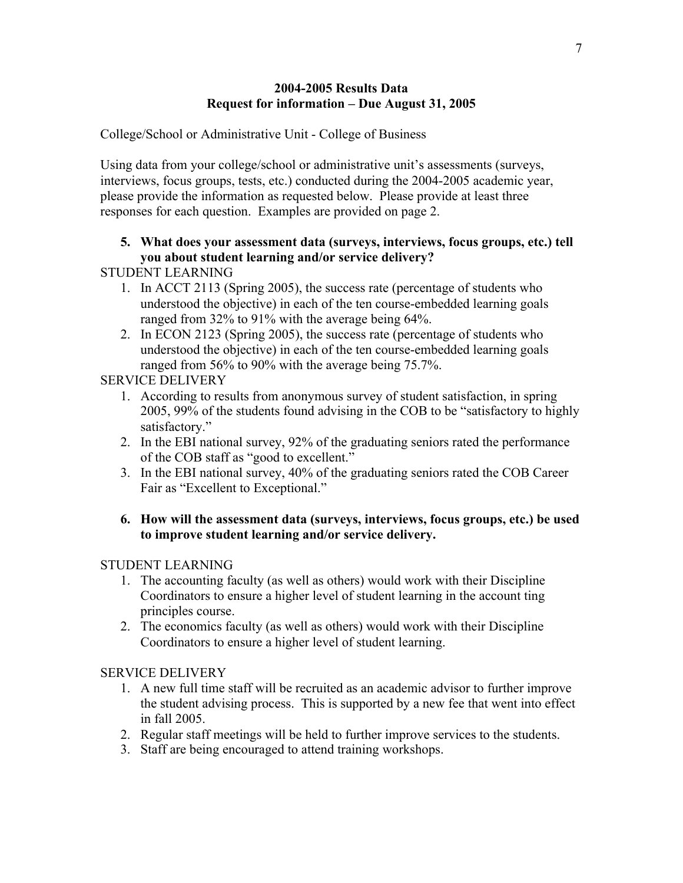## **2004-2005 Results Data Request for information – Due August 31, 2005**

College/School or Administrative Unit - College of Business

Using data from your college/school or administrative unit's assessments (surveys, interviews, focus groups, tests, etc.) conducted during the 2004-2005 academic year, please provide the information as requested below. Please provide at least three responses for each question. Examples are provided on page 2.

## **5. What does your assessment data (surveys, interviews, focus groups, etc.) tell you about student learning and/or service delivery?**

STUDENT LEARNING

- 1. In ACCT 2113 (Spring 2005), the success rate (percentage of students who understood the objective) in each of the ten course-embedded learning goals ranged from 32% to 91% with the average being 64%.
- 2. In ECON 2123 (Spring 2005), the success rate (percentage of students who understood the objective) in each of the ten course-embedded learning goals ranged from 56% to 90% with the average being 75.7%.

## SERVICE DELIVERY

- 1. According to results from anonymous survey of student satisfaction, in spring 2005, 99% of the students found advising in the COB to be "satisfactory to highly satisfactory."
- 2. In the EBI national survey, 92% of the graduating seniors rated the performance of the COB staff as "good to excellent."
- 3. In the EBI national survey, 40% of the graduating seniors rated the COB Career Fair as "Excellent to Exceptional."

## **6. How will the assessment data (surveys, interviews, focus groups, etc.) be used to improve student learning and/or service delivery.**

## STUDENT LEARNING

- 1. The accounting faculty (as well as others) would work with their Discipline Coordinators to ensure a higher level of student learning in the account ting principles course.
- 2. The economics faculty (as well as others) would work with their Discipline Coordinators to ensure a higher level of student learning.

## SERVICE DELIVERY

- 1. A new full time staff will be recruited as an academic advisor to further improve the student advising process. This is supported by a new fee that went into effect in fall 2005.
- 2. Regular staff meetings will be held to further improve services to the students.
- 3. Staff are being encouraged to attend training workshops.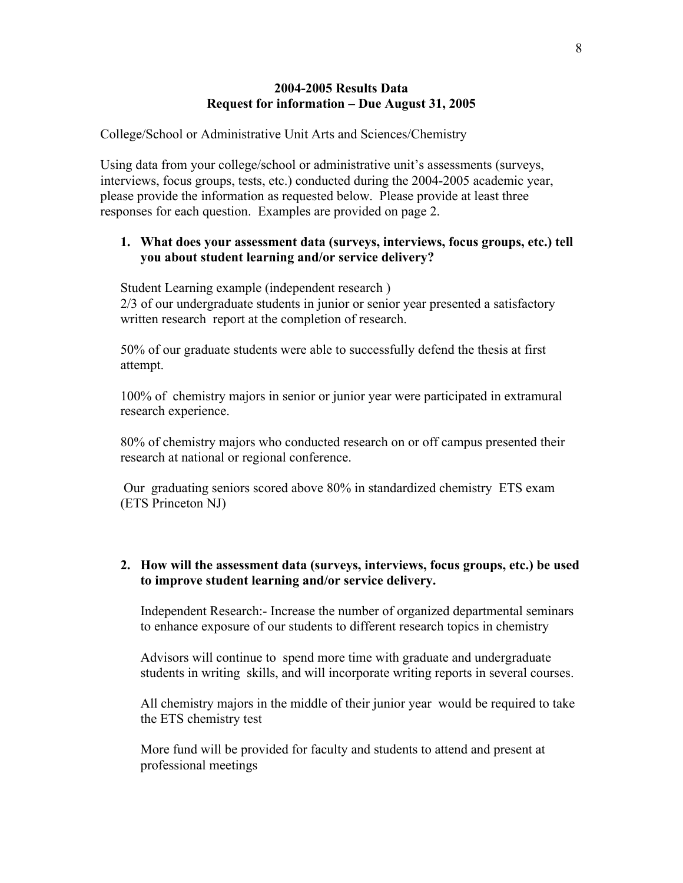### **2004-2005 Results Data Request for information – Due August 31, 2005**

College/School or Administrative Unit Arts and Sciences/Chemistry

Using data from your college/school or administrative unit's assessments (surveys, interviews, focus groups, tests, etc.) conducted during the 2004-2005 academic year, please provide the information as requested below. Please provide at least three responses for each question. Examples are provided on page 2.

## **1. What does your assessment data (surveys, interviews, focus groups, etc.) tell you about student learning and/or service delivery?**

Student Learning example (independent research ) 2/3 of our undergraduate students in junior or senior year presented a satisfactory written research report at the completion of research.

50% of our graduate students were able to successfully defend the thesis at first attempt.

100% of chemistry majors in senior or junior year were participated in extramural research experience.

80% of chemistry majors who conducted research on or off campus presented their research at national or regional conference.

 Our graduating seniors scored above 80% in standardized chemistry ETS exam (ETS Princeton NJ)

## **2. How will the assessment data (surveys, interviews, focus groups, etc.) be used to improve student learning and/or service delivery.**

Independent Research:- Increase the number of organized departmental seminars to enhance exposure of our students to different research topics in chemistry

Advisors will continue to spend more time with graduate and undergraduate students in writing skills, and will incorporate writing reports in several courses.

All chemistry majors in the middle of their junior year would be required to take the ETS chemistry test

More fund will be provided for faculty and students to attend and present at professional meetings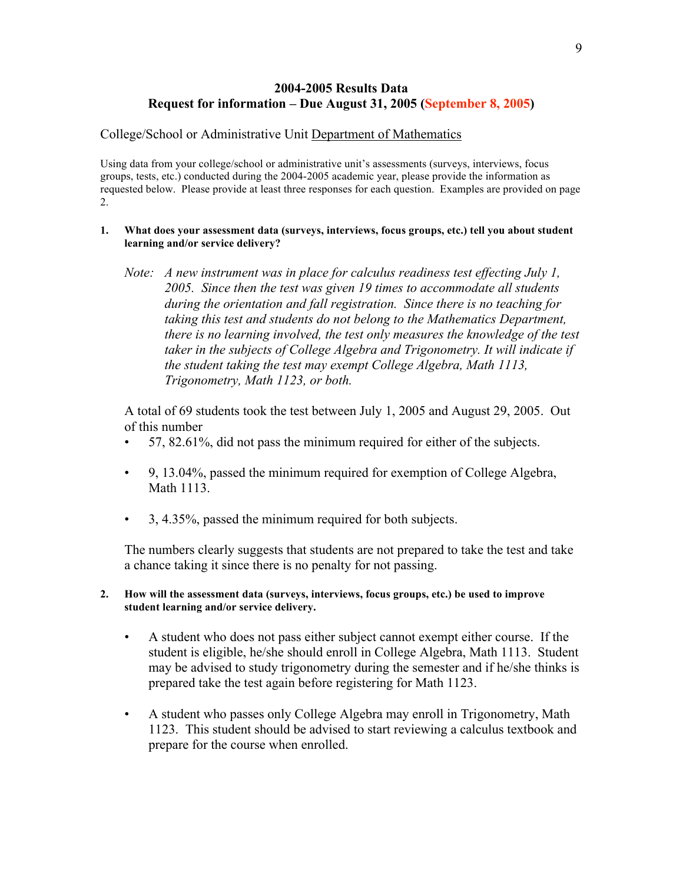## **2004-2005 Results Data Request for information – Due August 31, 2005 (September 8, 2005)**

#### College/School or Administrative Unit Department of Mathematics

Using data from your college/school or administrative unit's assessments (surveys, interviews, focus groups, tests, etc.) conducted during the 2004-2005 academic year, please provide the information as requested below. Please provide at least three responses for each question. Examples are provided on page 2.

- **1. What does your assessment data (surveys, interviews, focus groups, etc.) tell you about student learning and/or service delivery?**
	- *Note: A new instrument was in place for calculus readiness test effecting July 1, 2005. Since then the test was given 19 times to accommodate all students during the orientation and fall registration. Since there is no teaching for taking this test and students do not belong to the Mathematics Department, there is no learning involved, the test only measures the knowledge of the test taker in the subjects of College Algebra and Trigonometry. It will indicate if the student taking the test may exempt College Algebra, Math 1113, Trigonometry, Math 1123, or both.*

A total of 69 students took the test between July 1, 2005 and August 29, 2005. Out of this number

- 57, 82.61%, did not pass the minimum required for either of the subjects.
- 9, 13.04%, passed the minimum required for exemption of College Algebra, Math 1113.
- 3, 4.35%, passed the minimum required for both subjects.

The numbers clearly suggests that students are not prepared to take the test and take a chance taking it since there is no penalty for not passing.

- **2. How will the assessment data (surveys, interviews, focus groups, etc.) be used to improve student learning and/or service delivery.** 
	- A student who does not pass either subject cannot exempt either course. If the student is eligible, he/she should enroll in College Algebra, Math 1113. Student may be advised to study trigonometry during the semester and if he/she thinks is prepared take the test again before registering for Math 1123.
	- A student who passes only College Algebra may enroll in Trigonometry, Math 1123. This student should be advised to start reviewing a calculus textbook and prepare for the course when enrolled.